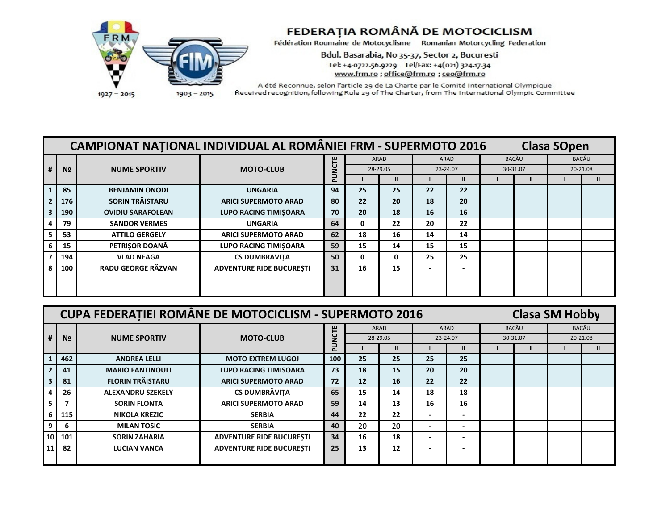

## FEDERAȚIA ROMÂNĂ DE MOTOCICLISM<br>Fédération Roumaine de Motocyclisme Romanian Motorcycling Federation

Bdul. Basarabia, No 35-37, Sector 2, Bucuresti Tel: +4-0722.56.9229 Tel/Fax: +4(021) 324.17.34 www.frm.ro ; office@frm.ro ; ceo@frm.ro

A été Reconnue, selon l'article 29 de La Charte par le Comité International Olympique Received recognition, following Rule 29 of The Charter, from The International Olympic Committee

|   |                | <b>CAMPIONAT NATIONAL INDIVIDUAL AL ROMÂNIEI FRM - SUPERMOTO 2016</b> |                                 |        |                  |    | <b>Clasa SOpen</b>           |                          |       |          |          |  |
|---|----------------|-----------------------------------------------------------------------|---------------------------------|--------|------------------|----|------------------------------|--------------------------|-------|----------|----------|--|
|   |                |                                                                       | <b>MOTO-CLUB</b>                |        | ARAD<br>28-29.05 |    |                              | ARAD                     | BACĂU |          | BACĂU    |  |
| # | N <sub>2</sub> | <b>NUME SPORTIV</b>                                                   |                                 | PUNCTE |                  |    |                              | 23-24.07                 |       | 30-31.07 | 20-21.08 |  |
|   |                |                                                                       |                                 |        |                  | Ш  |                              |                          |       |          |          |  |
|   | 85             | <b>BENJAMIN ONODI</b>                                                 | <b>UNGARIA</b>                  | 94     | 25               | 25 | 22                           | 22                       |       |          |          |  |
|   | 176            | <b>SORIN TRĂISTARU</b>                                                | <b>ARICI SUPERMOTO ARAD</b>     | 80     | 22               | 20 | 18                           | 20                       |       |          |          |  |
|   | 190            | <b>OVIDIU SARAFOLEAN</b>                                              | <b>LUPO RACING TIMISOARA</b>    | 70     | 20               | 18 | 16                           | 16                       |       |          |          |  |
|   | 79             | <b>SANDOR VERMES</b>                                                  | <b>UNGARIA</b>                  | 64     | 0                | 22 | 20                           | 22                       |       |          |          |  |
|   | 53             | <b>ATTILO GERGELY</b>                                                 | <b>ARICI SUPERMOTO ARAD</b>     | 62     | 18               | 16 | 14                           | 14                       |       |          |          |  |
|   | 15             | PETRIŞOR DOANĂ                                                        | <b>LUPO RACING TIMISOARA</b>    | 59     | 15               | 14 | 15                           | 15                       |       |          |          |  |
|   | 194            | <b>VLAD NEAGA</b>                                                     | <b>CS DUMBRAVITA</b>            | 50     | 0                | 0  | 25                           | 25                       |       |          |          |  |
|   | 100            | RADU GEORGE RĂZVAN                                                    | <b>ADVENTURE RIDE BUCURESTI</b> | 31     | 16               | 15 | $\qquad \qquad \blacksquare$ | $\overline{\phantom{0}}$ |       |          |          |  |
|   |                |                                                                       |                                 |        |                  |    |                              |                          |       |          |          |  |
|   |                |                                                                       |                                 |        |                  |    |                              |                          |       |          |          |  |

|                | <b>CUPA FEDERATIEI ROMÂNE DE MOTOCICLISM - SUPERMOTO 2016</b> |                                 | <b>Clasa SM Hobby</b> |                  |    |                          |                          |              |          |          |  |
|----------------|---------------------------------------------------------------|---------------------------------|-----------------------|------------------|----|--------------------------|--------------------------|--------------|----------|----------|--|
|                |                                                               |                                 |                       | ARAD<br>28-29.05 |    |                          | ARAD                     | <b>BACĂU</b> |          | BACĂU    |  |
| N <sub>2</sub> | <b>NUME SPORTIV</b>                                           | <b>MOTO-CLUB</b>                | PUNCTE                |                  |    |                          | 23-24.07                 |              | 30-31.07 | 20-21.08 |  |
|                |                                                               |                                 |                       |                  |    |                          |                          |              |          |          |  |
| 462            | <b>ANDREA LELLI</b>                                           | <b>MOTO EXTREM LUGOJ</b>        | 100                   | 25               | 25 | 25                       | 25                       |              |          |          |  |
| 41             | <b>MARIO FANTINOULI</b>                                       | <b>LUPO RACING TIMISOARA</b>    | 73                    | 18               | 15 | 20                       | 20                       |              |          |          |  |
| 81             | <b>FLORIN TRĂISTARU</b>                                       | <b>ARICI SUPERMOTO ARAD</b>     | 72                    | 12 <sup>2</sup>  | 16 | 22                       | 22                       |              |          |          |  |
| 26             | <b>ALEXANDRU SZEKELY</b>                                      | <b>CS DUMBRĂVIȚA</b>            | 65                    | 15               | 14 | 18                       | 18                       |              |          |          |  |
|                | <b>SORIN FLONTA</b>                                           | <b>ARICI SUPERMOTO ARAD</b>     | 59                    | 14               | 13 | 16                       | 16                       |              |          |          |  |
| 115            | <b>NIKOLA KREZIC</b>                                          | <b>SERBIA</b>                   | 44                    | 22               | 22 | $\overline{\phantom{a}}$ |                          |              |          |          |  |
| 6              | <b>MILAN TOSIC</b>                                            | <b>SERBIA</b>                   | 40                    | 20               | 20 | $\overline{\phantom{a}}$ |                          |              |          |          |  |
| 101            | <b>SORIN ZAHARIA</b>                                          | <b>ADVENTURE RIDE BUCURESTI</b> | 34                    | 16               | 18 | $\blacksquare$           | $\overline{\phantom{0}}$ |              |          |          |  |
| 82             | <b>LUCIAN VANCA</b>                                           | <b>ADVENTURE RIDE BUCURESTI</b> | 25                    | 13               | 12 | $\overline{\phantom{a}}$ |                          |              |          |          |  |
|                |                                                               |                                 |                       |                  |    |                          |                          |              |          |          |  |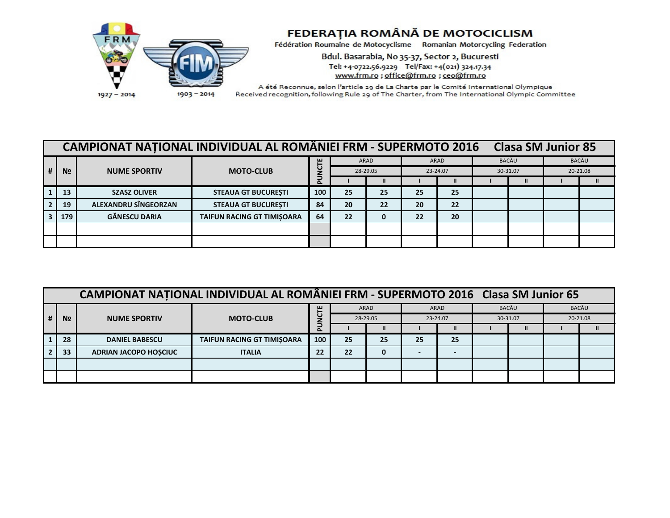

## FEDERAȚIA ROMÂNĂ DE MOTOCICLISM

Fédération Roumaine de Motocyclisme Romanian Motorcycling Federation

Bdul. Basarabia, No 35-37, Sector 2, Bucuresti Tel: +4-0722.56.9229 Tel/Fax: +4(021) 324.17.34 www.frm.ro; office@frm.ro; ceo@frm.ro

A été Reconnue, selon l'article 29 de La Charte par le Comité International Olympique Received recognition, following Rule 29 of The Charter, from The International Olympic Committee

| <b>CAMPIONAT NATIONAL INDIVIDUAL AL ROMÂNIEI FRM - SUPERMOTO 2016</b><br><b>Clasa SM Junior 85</b> |                |                             |                            |               |          |      |          |      |          |       |          |       |
|----------------------------------------------------------------------------------------------------|----------------|-----------------------------|----------------------------|---------------|----------|------|----------|------|----------|-------|----------|-------|
|                                                                                                    | N <sub>2</sub> | <b>NUME SPORTIV</b>         | <b>MOTO-CLUB</b>           | ш             |          | ARAD |          | ARAD |          | BACĂU |          | BACĂU |
|                                                                                                    |                |                             |                            | ں             | 28-29.05 |      | 23-24.07 |      | 30-31.07 |       | 20-21.08 |       |
|                                                                                                    |                |                             |                            | Ξ<br>$\Delta$ |          |      |          |      |          |       |          |       |
|                                                                                                    | 13             | <b>SZASZ OLIVER</b>         | <b>STEAUA GT BUCURESTI</b> | 100           | 25       | 25   | 25       | 25   |          |       |          |       |
|                                                                                                    | 19             | <b>ALEXANDRU SÎNGEORZAN</b> | <b>STEAUA GT BUCURESTI</b> | 84            | 20       | 22   | 20       | 22   |          |       |          |       |
|                                                                                                    | 179            | <b>GĂNESCU DARIA</b>        | TAIFUN RACING GT TIMISOARA | 64            | 22       | 0    | 22       | 20   |          |       |          |       |
|                                                                                                    |                |                             |                            |               |          |      |          |      |          |       |          |       |
|                                                                                                    |                |                             |                            |               |          |      |          |      |          |       |          |       |

| CAMPIONAT NATIONAL INDIVIDUAL AL ROMÂNIEI FRM - SUPERMOTO 2016 Clasa SM Junior 65 |                |                              |                                   |                   |          |      |          |      |          |  |          |  |
|-----------------------------------------------------------------------------------|----------------|------------------------------|-----------------------------------|-------------------|----------|------|----------|------|----------|--|----------|--|
|                                                                                   |                | <b>NUME SPORTIV</b>          | <b>MOTO-CLUB</b>                  | ш                 |          | ARAD |          | ARAD | BACĂU    |  | BACĂU    |  |
| $\vert$ #                                                                         | N <sub>2</sub> |                              |                                   | ں<br>$\mathbf{a}$ | 28-29.05 |      | 23-24.07 |      | 30-31.07 |  | 20-21.08 |  |
|                                                                                   |                |                              |                                   |                   |          |      |          |      |          |  |          |  |
|                                                                                   | 28             | <b>DANIEL BABESCU</b>        | <b>TAIFUN RACING GT TIMISOARA</b> | 100               | 25       | 25   | 25       | 25   |          |  |          |  |
|                                                                                   | 33             | <b>ADRIAN JACOPO HOSCIUC</b> | <b>ITALIA</b>                     | 22                | 22       | 0    |          |      |          |  |          |  |
|                                                                                   |                |                              |                                   |                   |          |      |          |      |          |  |          |  |
|                                                                                   |                |                              |                                   |                   |          |      |          |      |          |  |          |  |